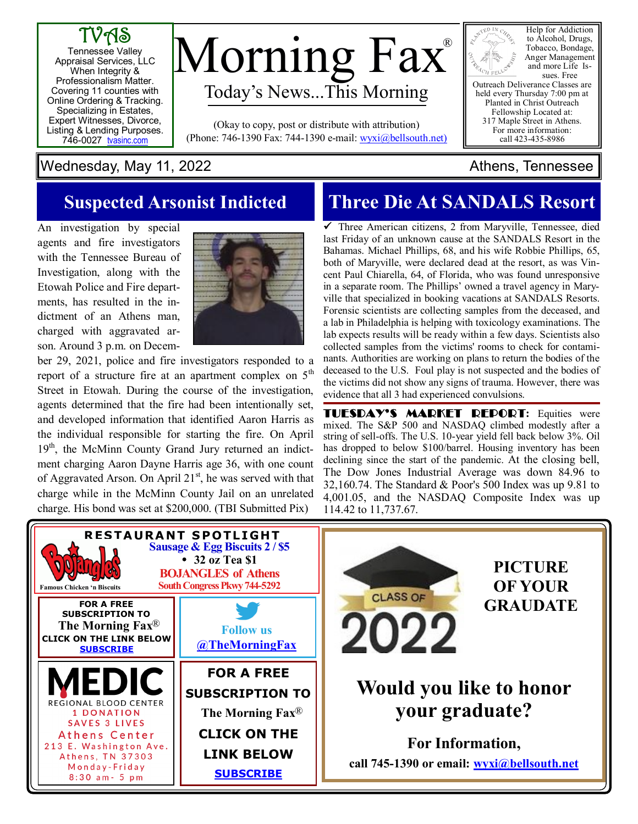



#### Wednesday, May 11, 2022 **Athens**, Tennessee

### **Suspected Arsonist Indicted**

An investigation by special agents and fire investigators with the Tennessee Bureau of Investigation, along with the Etowah Police and Fire departments, has resulted in the indictment of an Athens man, charged with aggravated arson. Around 3 p.m. on Decem-



ber 29, 2021, police and fire investigators responded to a report of a structure fire at an apartment complex on  $5<sup>th</sup>$ Street in Etowah. During the course of the investigation, agents determined that the fire had been intentionally set, and developed information that identified Aaron Harris as the individual responsible for starting the fire. On April 19<sup>th</sup>, the McMinn County Grand Jury returned an indictment charging Aaron Dayne Harris age 36, with one count of Aggravated Arson. On April  $21<sup>st</sup>$ , he was served with that charge while in the McMinn County Jail on an unrelated charge. His bond was set at \$200,000. (TBI Submitted Pix)

## **Three Die At SANDALS Resort**

 $\checkmark$  Three American citizens, 2 from Maryville, Tennessee, died last Friday of an unknown cause at the SANDALS Resort in the Bahamas. Michael Phillips, 68, and his wife Robbie Phillips, 65, both of Maryville, were declared dead at the resort, as was Vincent Paul Chiarella, 64, of Florida, who was found unresponsive in a separate room. The Phillips' owned a travel agency in Maryville that specialized in booking vacations at SANDALS Resorts. Forensic scientists are collecting samples from the deceased, and a lab in Philadelphia is helping with toxicology examinations. The lab expects results will be ready within a few days. Scientists also collected samples from the victims' rooms to check for contaminants. Authorities are working on plans to return the bodies of the deceased to the U.S. Foul play is not suspected and the bodies of the victims did not show any signs of trauma. However, there was evidence that all 3 had experienced convulsions.

TUESDAY'S MARKET REPORT**:** Equities were mixed. The S&P 500 and NASDAQ climbed modestly after a string of sell-offs. The U.S. 10-year yield fell back below 3%. Oil has dropped to below \$100/barrel. Housing inventory has been declining since the start of the pandemic. At the closing bell, The Dow Jones Industrial Average was down 84.96 to 32,160.74. The Standard & Poor's 500 Index was up 9.81 to 4,001.05, and the NASDAQ Composite Index was up 114.42 to 11,737.67.